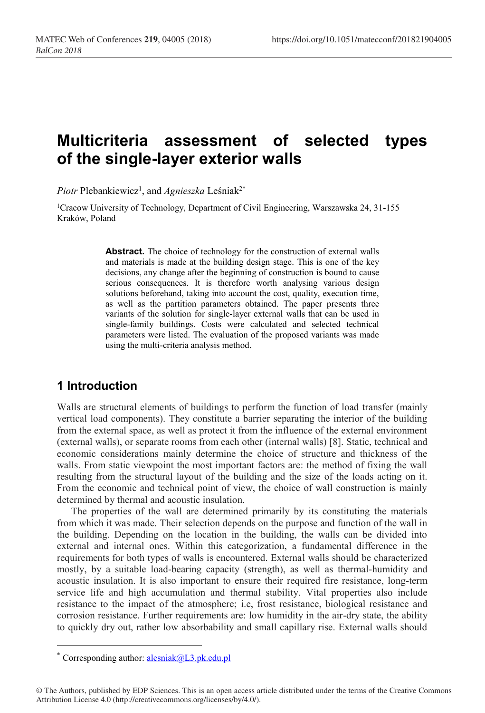# **Multicriteria assessment of selected types of the single-layer exterior walls**

 $Piotr$  Plebankiewicz<sup>1</sup>, and *Agnieszka* Leśniak<sup>2\*</sup>

<sup>1</sup>Cracow University of Technology, Department of Civil Engineering, Warszawska 24, 31-155 Kraków, Poland

> **Abstract.** The choice of technology for the construction of external walls and materials is made at the building design stage. This is one of the key decisions, any change after the beginning of construction is bound to cause serious consequences. It is therefore worth analysing various design solutions beforehand, taking into account the cost, quality, execution time, as well as the partition parameters obtained. The paper presents three variants of the solution for single-layer external walls that can be used in single-family buildings. Costs were calculated and selected technical parameters were listed. The evaluation of the proposed variants was made using the multi-criteria analysis method.

# **1 Introduction**

Walls are structural elements of buildings to perform the function of load transfer (mainly vertical load components). They constitute a barrier separating the interior of the building from the external space, as well as protect it from the influence of the external environment (external walls), or separate rooms from each other (internal walls) [8]. Static, technical and economic considerations mainly determine the choice of structure and thickness of the walls. From static viewpoint the most important factors are: the method of fixing the wall resulting from the structural layout of the building and the size of the loads acting on it. From the economic and technical point of view, the choice of wall construction is mainly determined by thermal and acoustic insulation.

The properties of the wall are determined primarily by its constituting the materials from which it was made. Their selection depends on the purpose and function of the wall in the building. Depending on the location in the building, the walls can be divided into external and internal ones. Within this categorization, a fundamental difference in the requirements for both types of walls is encountered. External walls should be characterized mostly, by a suitable load-bearing capacity (strength), as well as thermal-humidity and acoustic insulation. It is also important to ensure their required fire resistance, long-term service life and high accumulation and thermal stability. Vital properties also include resistance to the impact of the atmosphere; i.e, frost resistance, biological resistance and corrosion resistance. Further requirements are: low humidity in the air-dry state, the ability to quickly dry out, rather low absorbability and small capillary rise. External walls should

 <sup>\*</sup> Corresponding author: alesniak@L3.pk.edu.pl

<sup>©</sup> The Authors, published by EDP Sciences. This is an open access article distributed under the terms of the Creative Commons Attribution License 4.0 (http://creativecommons.org/licenses/by/4.0/).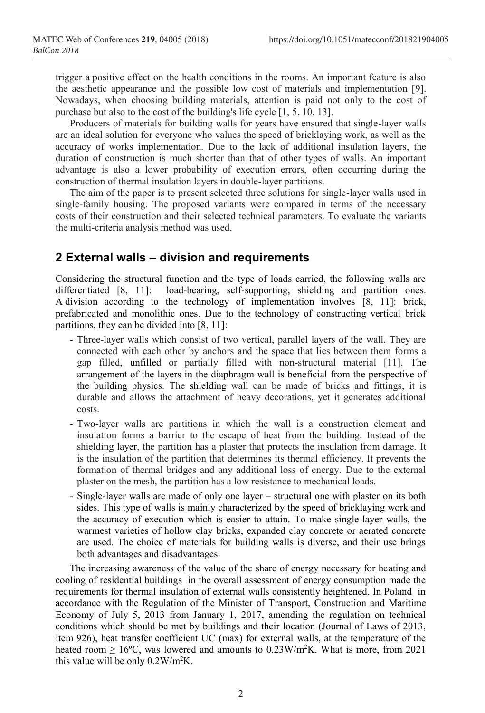trigger a positive effect on the health conditions in the rooms. An important feature is also the aesthetic appearance and the possible low cost of materials and implementation [9]. Nowadays, when choosing building materials, attention is paid not only to the cost of purchase but also to the cost of the building's life cycle [1, 5, 10, 13].

Producers of materials for building walls for years have ensured that single-layer walls are an ideal solution for everyone who values the speed of bricklaying work, as well as the accuracy of works implementation. Due to the lack of additional insulation layers, the duration of construction is much shorter than that of other types of walls. An important advantage is also a lower probability of execution errors, often occurring during the construction of thermal insulation layers in double-layer partitions.

The aim of the paper is to present selected three solutions for single-layer walls used in single-family housing. The proposed variants were compared in terms of the necessary costs of their construction and their selected technical parameters. To evaluate the variants the multi-criteria analysis method was used.

## **2 External walls – division and requirements**

Considering the structural function and the type of loads carried, the following walls are differentiated [8, 11]: load-bearing, self-supporting, shielding and partition ones. A division according to the technology of implementation involves [8, 11]: brick, prefabricated and monolithic ones. Due to the technology of constructing vertical brick partitions, they can be divided into [8, 11]:

- Three-layer walls which consist of two vertical, parallel layers of the wall. They are connected with each other by anchors and the space that lies between them forms a gap filled, unfilled or partially filled with non-structural material [11]. The arrangement of the layers in the diaphragm wall is beneficial from the perspective of the building physics. The shielding wall can be made of bricks and fittings, it is durable and allows the attachment of heavy decorations, yet it generates additional costs.
- Two-layer walls are partitions in which the wall is a construction element and insulation forms a barrier to the escape of heat from the building. Instead of the shielding layer, the partition has a plaster that protects the insulation from damage. It is the insulation of the partition that determines its thermal efficiency. It prevents the formation of thermal bridges and any additional loss of energy. Due to the external plaster on the mesh, the partition has a low resistance to mechanical loads.
- Single-layer walls are made of only one layer structural one with plaster on its both sides. This type of walls is mainly characterized by the speed of bricklaying work and the accuracy of execution which is easier to attain. To make single-layer walls, the warmest varieties of hollow clay bricks, expanded clay concrete or aerated concrete are used. The choice of materials for building walls is diverse, and their use brings both advantages and disadvantages.

The increasing awareness of the value of the share of energy necessary for heating and cooling of residential buildings in the overall assessment of energy consumption made the requirements for thermal insulation of external walls consistently heightened. In Poland in accordance with the Regulation of the Minister of Transport, Construction and Maritime Economy of July 5, 2013 from January 1, 2017, amending the regulation on technical conditions which should be met by buildings and their location (Journal of Laws of 2013, item 926), heat transfer coefficient UC (max) for external walls, at the temperature of the heated room  $\geq 16^{\circ}$ C, was lowered and amounts to 0.23W/m<sup>2</sup>K. What is more, from 2021 this value will be only 0.2W/m2 K.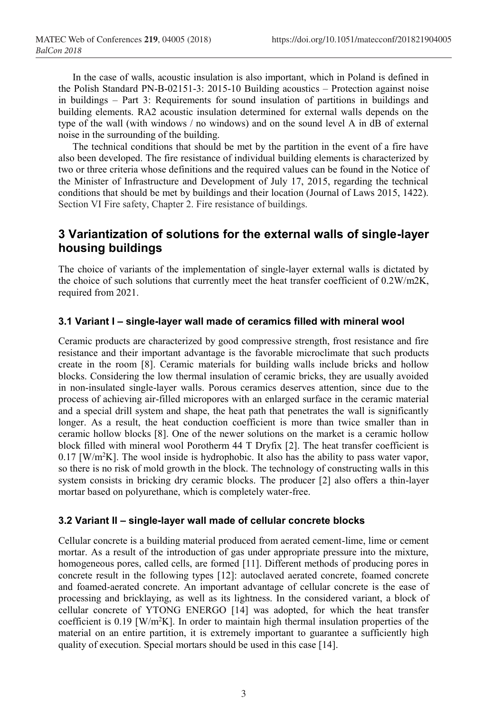In the case of walls, acoustic insulation is also important, which in Poland is defined in the Polish Standard PN-B-02151-3: 2015-10 Building acoustics – Protection against noise in buildings – Part 3: Requirements for sound insulation of partitions in buildings and building elements. RA2 acoustic insulation determined for external walls depends on the type of the wall (with windows / no windows) and on the sound level A in dB of external noise in the surrounding of the building.

The technical conditions that should be met by the partition in the event of a fire have also been developed. The fire resistance of individual building elements is characterized by two or three criteria whose definitions and the required values can be found in the Notice of the Minister of Infrastructure and Development of July 17, 2015, regarding the technical conditions that should be met by buildings and their location (Journal of Laws 2015, 1422). Section VI Fire safety, Chapter 2. Fire resistance of buildings.

# **3 Variantization of solutions for the external walls of single-layer housing buildings**

The choice of variants of the implementation of single-layer external walls is dictated by the choice of such solutions that currently meet the heat transfer coefficient of 0.2W/m2K, required from 2021.

#### **3.1 Variant I – single-layer wall made of ceramics filled with mineral wool**

Ceramic products are characterized by good compressive strength, frost resistance and fire resistance and their important advantage is the favorable microclimate that such products create in the room [8]. Ceramic materials for building walls include bricks and hollow blocks. Considering the low thermal insulation of ceramic bricks, they are usually avoided in non-insulated single-layer walls. Porous ceramics deserves attention, since due to the process of achieving air-filled micropores with an enlarged surface in the ceramic material and a special drill system and shape, the heat path that penetrates the wall is significantly longer. As a result, the heat conduction coefficient is more than twice smaller than in ceramic hollow blocks [8]. One of the newer solutions on the market is a ceramic hollow block filled with mineral wool Porotherm 44 T Dryfix [2]. The heat transfer coefficient is  $0.17$  [W/m<sup>2</sup>K]. The wool inside is hydrophobic. It also has the ability to pass water vapor, so there is no risk of mold growth in the block. The technology of constructing walls in this system consists in bricking dry ceramic blocks. The producer [2] also offers a thin-layer mortar based on polyurethane, which is completely water-free.

#### **3.2 Variant II – single-layer wall made of cellular concrete blocks**

Cellular concrete is a building material produced from aerated cement-lime, lime or cement mortar. As a result of the introduction of gas under appropriate pressure into the mixture, homogeneous pores, called cells, are formed [11]. Different methods of producing pores in concrete result in the following types [12]: autoclaved aerated concrete, foamed concrete and foamed-aerated concrete. An important advantage of cellular concrete is the ease of processing and bricklaying, as well as its lightness. In the considered variant, a block of cellular concrete of YTONG ENERGO [14] was adopted, for which the heat transfer coefficient is 0.19 [W/m<sup>2</sup>K]. In order to maintain high thermal insulation properties of the material on an entire partition, it is extremely important to guarantee a sufficiently high quality of execution. Special mortars should be used in this case [14].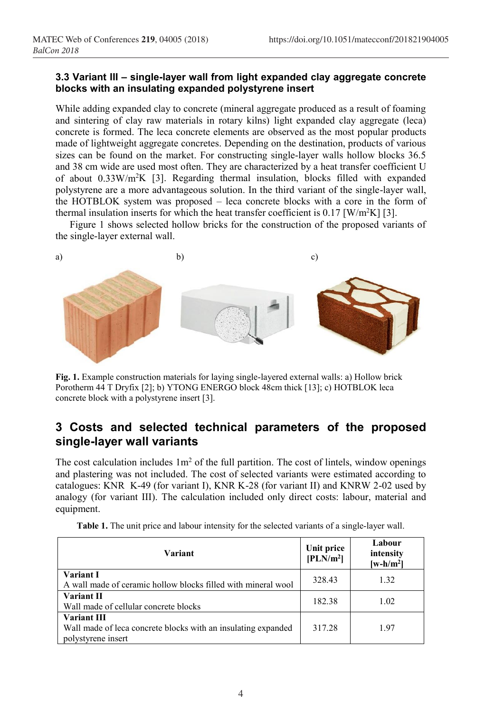#### **3.3 Variant III – single-layer wall from light expanded clay aggregate concrete blocks with an insulating expanded polystyrene insert**

While adding expanded clay to concrete (mineral aggregate produced as a result of foaming and sintering of clay raw materials in rotary kilns) light expanded clay aggregate (leca) concrete is formed. The leca concrete elements are observed as the most popular products made of lightweight aggregate concretes. Depending on the destination, products of various sizes can be found on the market. For constructing single-layer walls hollow blocks 36.5 and 38 cm wide are used most often. They are characterized by a heat transfer coefficient U of about 0.33W/m<sup>2</sup>K [3]. Regarding thermal insulation, blocks filled with expanded polystyrene are a more advantageous solution. In the third variant of the single-layer wall, the HOTBLOK system was proposed – leca concrete blocks with a core in the form of thermal insulation inserts for which the heat transfer coefficient is  $0.17$  [W/m<sup>2</sup>K] [3].

Figure 1 shows selected hollow bricks for the construction of the proposed variants of the single-layer external wall.



**Fig. 1.** Example construction materials for laying single-layered external walls: a) Hollow brick Porotherm 44 T Dryfix [2]; b) YTONG ENERGO block 48cm thick [13]; c) HOTBLOK leca concrete block with a polystyrene insert [3].

# **3 Costs and selected technical parameters of the proposed single-layer wall variants**

The cost calculation includes  $1m^2$  of the full partition. The cost of lintels, window openings and plastering was not included. The cost of selected variants were estimated according to catalogues: KNR K-49 (for variant I), KNR K-28 (for variant II) and KNRW 2-02 used by analogy (for variant III). The calculation included only direct costs: labour, material and equipment.

|  |  | Table 1. The unit price and labour intensity for the selected variants of a single-layer wall. |  |  |
|--|--|------------------------------------------------------------------------------------------------|--|--|
|--|--|------------------------------------------------------------------------------------------------|--|--|

| Variant                                                                                            | Unit price<br>$[PLN/m^2]$ | Labour<br>intensity<br>$[w-h/m2]$ |  |
|----------------------------------------------------------------------------------------------------|---------------------------|-----------------------------------|--|
| <b>Variant I</b><br>A wall made of ceramic hollow blocks filled with mineral wool                  | 328.43                    | 1.32                              |  |
| Variant II<br>Wall made of cellular concrete blocks                                                | 182.38                    | 1.02                              |  |
| Variant III<br>Wall made of leca concrete blocks with an insulating expanded<br>polystyrene insert | 317.28                    | 197                               |  |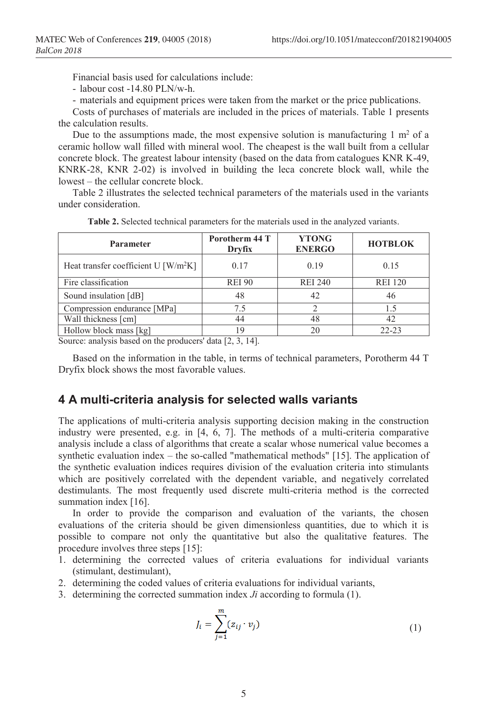Financial basis used for calculations include:

- labour cost -14.80 PLN/w-h.

- materials and equipment prices were taken from the market or the price publications.

Costs of purchases of materials are included in the prices of materials. Table 1 presents the calculation results.

Due to the assumptions made, the most expensive solution is manufacturing  $1 \text{ m}^2$  of a ceramic hollow wall filled with mineral wool. The cheapest is the wall built from a cellular concrete block. The greatest labour intensity (based on the data from catalogues KNR K-49, KNRK-28, KNR 2-02) is involved in building the leca concrete block wall, while the lowest – the cellular concrete block.

Table 2 illustrates the selected technical parameters of the materials used in the variants under consideration.

| <b>Parameter</b>                                  | Porotherm 44 T<br><b>Dryfix</b> | <b>YTONG</b><br><b>ENERGO</b> | <b>HOTBLOK</b> |
|---------------------------------------------------|---------------------------------|-------------------------------|----------------|
| Heat transfer coefficient U $\left[W/m^2K\right]$ | 0.17                            | 0.19                          | 0.15           |
| Fire classification                               | <b>REI 90</b>                   | <b>REI 240</b>                | <b>REI 120</b> |
| Sound insulation [dB]                             | 48                              | 42                            | 46             |
| Compression endurance [MPa]                       | 7.5                             |                               | 1.5            |
| Wall thickness [cm]                               | 44                              | 48                            | 42             |
| Hollow block mass [kg]<br>.                       | l Q                             | 20                            | $22 - 23$      |

**Table 2.** Selected technical parameters for the materials used in the analyzed variants.

Source: analysis based on the producers' data [2, 3, 14].

Based on the information in the table, in terms of technical parameters, Porotherm 44 T Dryfix block shows the most favorable values.

#### **4 A multi-criteria analysis for selected walls variants**

The applications of multi-criteria analysis supporting decision making in the construction industry were presented, e.g. in [4, 6, 7]. The methods of a multi-criteria comparative analysis include a class of algorithms that create a scalar whose numerical value becomes a synthetic evaluation index – the so-called "mathematical methods" [15]. The application of the synthetic evaluation indices requires division of the evaluation criteria into stimulants which are positively correlated with the dependent variable, and negatively correlated destimulants. The most frequently used discrete multi-criteria method is the corrected summation index [16].

In order to provide the comparison and evaluation of the variants, the chosen evaluations of the criteria should be given dimensionless quantities, due to which it is possible to compare not only the quantitative but also the qualitative features. The procedure involves three steps [15]:

- 1. determining the corrected values of criteria evaluations for individual variants (stimulant, destimulant),
- 2. determining the coded values of criteria evaluations for individual variants,
- 3. determining the corrected summation index *Ji* according to formula (1).

$$
J_i = \sum_{j=1}^{m} (z_{ij} \cdot v_j) \tag{1}
$$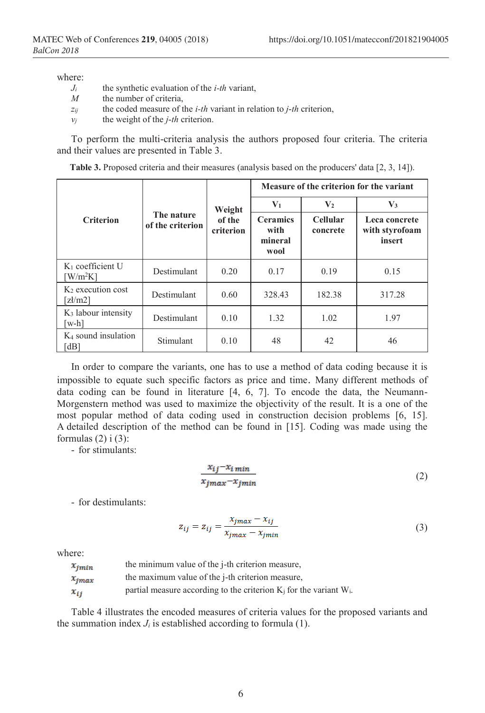where:

- *Ji* the synthetic evaluation of the *i-th* variant,
- *M* the number of criteria,
- *zij* the coded measure of the *i-th* variant in relation to *j*-*th* criterion,
- $v_j$  the weight of the *j*-*th* criterion.

To perform the multi-criteria analysis the authors proposed four criteria. The criteria and their values are presented in Table 3.

|                                               |                                | Weight<br>of the<br>criterion | Measure of the criterion for the variant   |                             |                                           |  |
|-----------------------------------------------|--------------------------------|-------------------------------|--------------------------------------------|-----------------------------|-------------------------------------------|--|
|                                               | The nature<br>of the criterion |                               | V <sub>1</sub>                             | $\mathbf{V}_2$              | $V_3$                                     |  |
| <b>Criterion</b>                              |                                |                               | <b>Ceramics</b><br>with<br>mineral<br>wool | <b>Cellular</b><br>concrete | Leca concrete<br>with styrofoam<br>insert |  |
| $K_1$ coefficient U<br>$\lceil W/m^2K \rceil$ | Destimulant                    | 0.20                          | 0.17                                       | 0.19                        | 0.15                                      |  |
| $K_2$ execution cost<br>[zl/m2]               | Destimulant                    | 0.60                          | 328.43                                     | 182.38                      | 317.28                                    |  |
| K <sub>3</sub> labour intensity<br>[w-h]      | Destimulant                    | 0.10                          | 1.32                                       | 1.02                        | 1.97                                      |  |
| K <sub>4</sub> sound insulation<br>[dB]       | Stimulant                      | 0.10                          | 48                                         | 42                          | 46                                        |  |

**Table 3.** Proposed criteria and their measures (analysis based on the producers' data [2, 3, 14]).

In order to compare the variants, one has to use a method of data coding because it is impossible to equate such specific factors as price and time. Many different methods of data coding can be found in literature [4, 6, 7]. To encode the data, the Neumann-Morgenstern method was used to maximize the objectivity of the result. It is a one of the most popular method of data coding used in construction decision problems [6, 15]. A detailed description of the method can be found in [15]. Coding was made using the formulas  $(2)$  i  $(3)$ :

- for stimulants:

$$
\frac{x_{ij} - x_{i\min}}{x_{j\max} - x_{j\min}}
$$
 (2)

- for destimulants:

$$
z_{ij} = z_{ij} = \frac{x_{jmax} - x_{ij}}{x_{jmax} - x_{jmin}}
$$
\n(3)

where:

| $x_{jmin}$ | the minimum value of the <i>j</i> -th criterion measure,                 |
|------------|--------------------------------------------------------------------------|
| $x_{imax}$ | the maximum value of the <i>j</i> -th criterion measure,                 |
| $x_{ii}$   | partial measure according to the criterion $K_i$ for the variant $W_i$ . |

Table 4 illustrates the encoded measures of criteria values for the proposed variants and the summation index  $J_i$  is established according to formula (1).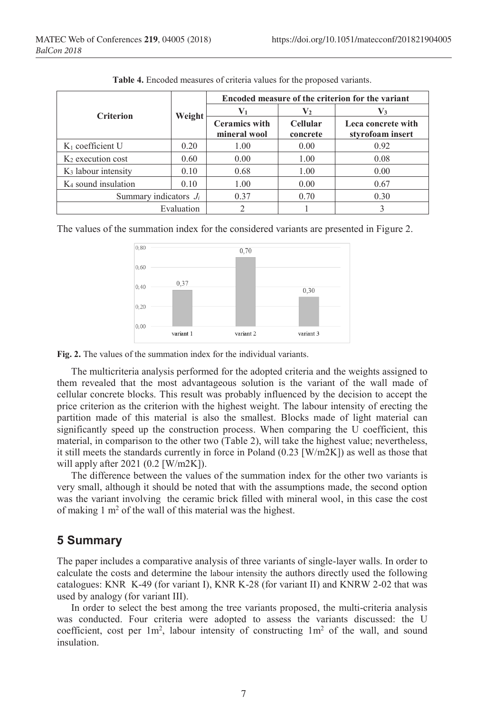|                                 |        | Encoded measure of the criterion for the variant |                             |                                        |  |
|---------------------------------|--------|--------------------------------------------------|-----------------------------|----------------------------------------|--|
| <b>Criterion</b>                | Weight | V1                                               | V2                          | V3                                     |  |
|                                 |        | <b>Ceramics with</b><br>mineral wool             | <b>Cellular</b><br>concrete | Leca concrete with<br>styrofoam insert |  |
| $K_1$ coefficient U             | 0.20   | 1.00                                             | 0.00                        | 0.92                                   |  |
| $K2$ execution cost             | 0.60   | 0.00                                             | 1.00                        | 0.08                                   |  |
| K <sub>3</sub> labour intensity | 0.10   | 0.68                                             | 1.00                        | 0.00                                   |  |
| K <sub>4</sub> sound insulation | 0.10   | 1.00                                             | 0.00                        | 0.67                                   |  |
| Summary indicators $J_i$        |        | 0.37                                             | 0.70                        | 0.30                                   |  |
| Evaluation                      |        |                                                  |                             |                                        |  |

**Table 4.** Encoded measures of criteria values for the proposed variants.

The values of the summation index for the considered variants are presented in Figure 2.



**Fig. 2.** The values of the summation index for the individual variants.

The multicriteria analysis performed for the adopted criteria and the weights assigned to them revealed that the most advantageous solution is the variant of the wall made of cellular concrete blocks. This result was probably influenced by the decision to accept the price criterion as the criterion with the highest weight. The labour intensity of erecting the partition made of this material is also the smallest. Blocks made of light material can significantly speed up the construction process. When comparing the U coefficient, this material, in comparison to the other two (Table 2), will take the highest value; nevertheless, it still meets the standards currently in force in Poland (0.23 [W/m2K]) as well as those that will apply after 2021 (0.2 [W/m2K]).

The difference between the values of the summation index for the other two variants is very small, although it should be noted that with the assumptions made, the second option was the variant involving the ceramic brick filled with mineral wool, in this case the cost of making 1 m2 of the wall of this material was the highest.

# **5 Summary**

The paper includes a comparative analysis of three variants of single-layer walls. In order to calculate the costs and determine the labour intensity the authors directly used the following catalogues: KNR K-49 (for variant I), KNR K-28 (for variant II) and KNRW 2-02 that was used by analogy (for variant III).

In order to select the best among the tree variants proposed, the multi-criteria analysis was conducted. Four criteria were adopted to assess the variants discussed: the U coefficient, cost per  $1m^2$ , labour intensity of constructing  $1m^2$  of the wall, and sound insulation.